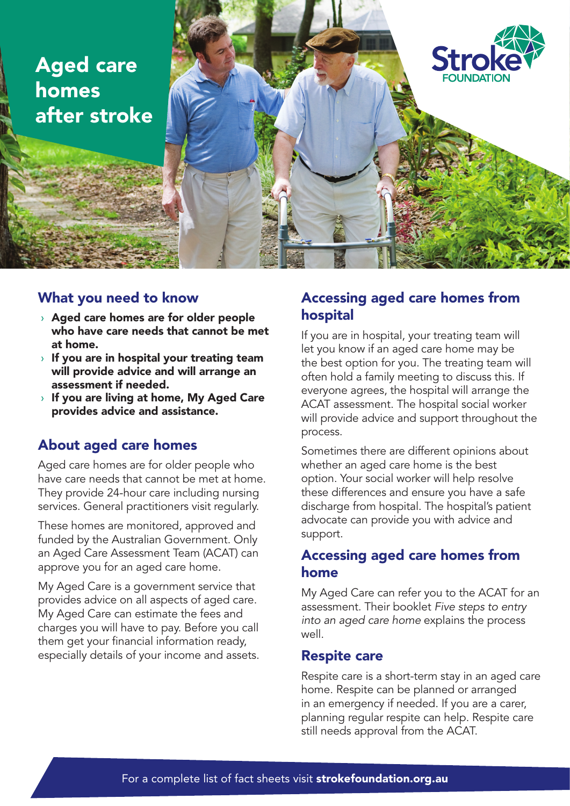



### What you need to know

- › Aged care homes are for older people who have care needs that cannot be met at home.
- $\rightarrow$  If you are in hospital your treating team will provide advice and will arrange an assessment if needed.
- › If you are living at home, My Aged Care provides advice and assistance.

# About aged care homes

Aged care homes are for older people who have care needs that cannot be met at home. They provide 24-hour care including nursing services. General practitioners visit regularly.

These homes are monitored, approved and funded by the Australian Government. Only an Aged Care Assessment Team (ACAT) can approve you for an aged care home.

My Aged Care is a government service that provides advice on all aspects of aged care. My Aged Care can estimate the fees and charges you will have to pay. Before you call them get your financial information ready, especially details of your income and assets.

## Accessing aged care homes from hospital

If you are in hospital, your treating team will let you know if an aged care home may be the best option for you. The treating team will often hold a family meeting to discuss this. If everyone agrees, the hospital will arrange the ACAT assessment. The hospital social worker will provide advice and support throughout the process.

Sometimes there are different opinions about whether an aged care home is the best option. Your social worker will help resolve these differences and ensure you have a safe discharge from hospital. The hospital's patient advocate can provide you with advice and support.

### Accessing aged care homes from home

My Aged Care can refer you to the ACAT for an assessment. Their booklet *Five steps to entry into an aged care home* explains the process well.

#### Respite care

Respite care is a short-term stay in an aged care home. Respite can be planned or arranged in an emergency if needed. If you are a carer, planning regular respite can help. Respite care still needs approval from the ACAT.